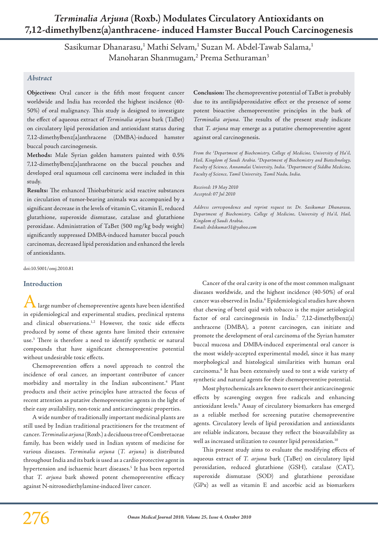# *Terminalia Arjuna* **(Roxb.) Modulates Circulatory Antioxidants on 7,12-dimethylbenz(a)anthracene- induced Hamster Buccal Pouch Carcinogenesis**

Sasikumar Dhanarasu,<sup>1</sup> Mathi Selvam,<sup>1</sup> Suzan M. Abdel-Tawab Salama,<sup>1</sup> Manoharan Shanmugam,<sup>2</sup> Prema Sethuraman<sup>3</sup>

## *Abstract*

**Objectives:** Oral cancer is the fifth most frequent cancer worldwide and India has recorded the highest incidence (40- 50%) of oral malignancy. This study is designed to investigate the effect of aqueous extract of *Terminalia arjuna* bark (TaBet) on circulatory lipid peroxidation and antioxidant status during 7,12-dimethylbenz[a]anthracene (DMBA)-induced hamster buccal pouch carcinogenesis.

**Methods:** Male Syrian golden hamsters painted with 0.5% 7,12-dimethylbenz[a]anthracene on the buccal pouches and developed oral squamous cell carcinoma were included in this study.

**Results:** The enhanced Thiobarbituric acid reactive substances in circulation of tumor-bearing animals was accompanied by a significant decrease in the levels of vitamin C, vitamin E, reduced glutathione, superoxide dismutase, catalase and glutathione peroxidase. Administration of TaBet (500 mg/kg body weight) significantly suppressed DMBA-induced hamster buccal pouch carcinomas, decreased lipid peroxidation and enhanced the levels of antioxidants.

doi:10.5001/omj.2010.81

## **Introduction**

. large number of chemopreventive agents have been identified in epidemiological and experimental studies, preclinical systems and clinical observations.<sup>1,2</sup> However, the toxic side effects produced by some of these agents have limited their extensive use.3 There is therefore a need to identify synthetic or natural compounds that have significant chemopreventive potential without undesirable toxic effects.

Chemoprevention offers a novel approach to control the incidence of oral cancer, an important contributor of cancer morbidity and mortality in the Indian subcontinent.4 Plant products and their active principles have attracted the focus of recent attention as putative chemopreventive agents in the light of their easy availability, non-toxic and anticarcinogenic properties.

A wide number of traditionally important medicinal plants are still used by Indian traditional practitioners for the treatment of cancer. *Terminalia arjuna* (Roxb.) a deciduous tree of Combretaceae family, has been widely used in Indian system of medicine for various diseases. *Terminalia arjuna* (*T. arjuna*) is distributed throughout India and its bark is used as a cardio protective agent in hypertension and ischaemic heart diseases.5 It has been reported that *T. arjuna* bark showed potent chemopreventive efficacy against N-nitrosodiethylamine-induced liver cancer.

**Conclusion:** The chemopreventive potential of TaBet is probably due to its antilipidperoxidative effect or the presence of some potent bioactive chemopreventive principles in the bark of *Terminalia arjuna.* The results of the present study indicate that *T. arjuna* may emerge as a putative chemopreventive agent against oral carcinogenesis.

*From the 1 Department of Biochemistry, College of Medicine, University of Ha'il, Hail, Kingdom of Saudi Arabia. 2 Department of Biochemistry and Biotechnology, Faculty of Science, Annamalai University, India. 3 Department of Siddha Medicine, Faculty of Science, Tamil University, Tamil Nadu, India.*

*Received: 19 May 2010 Accepted: 07 Jul 2010*

*Address correspondence and reprint request to: Dr. Sasikumar Dhanarasu, Department of Biochemistry, College of Medicine, University of Ha'il, Hail, Kingdom of Saudi Arabia. Email: drdskumar31@yahoo.com*

Cancer of the oral cavity is one of the most common malignant diseases worldwide, and the highest incidence (40-50%) of oral cancer was observed in India.<sup>6</sup> Epidemiological studies have shown that chewing of betel quid with tobacco is the major aetiological factor of oral carcinogenesis in India.<sup>7</sup> 7,12-dimethylbenz(a) anthracene (DMBA), a potent carcinogen, can initiate and promote the development of oral carcinoma of the Syrian hamster buccal mucosa and DMBA-induced experimental oral cancer is the most widely-accepted experimental model, since it has many morphological and histological similarities with human oral carcinoma.<sup>8</sup> It has been extensively used to test a wide variety of synthetic and natural agents for their chemopreventive potential.

Most phytochemicals are known to exert their anticarcinogenic effects by scavenging oxygen free radicals and enhancing antioxidant levels.9 Assay of circulatory biomarkers has emerged as a reliable method for screening putative chemopreventive agents. Circulatory levels of lipid peroxidation and antioxidants are reliable indicators, because they reflect the bioavailability as well as increased utilization to counter lipid peroxidation.<sup>10</sup>

This present study aims to evaluate the modifying effects of aqueous extract of *T. arjuna* bark (TaBet) on circulatory lipid peroxidation, reduced glutathione (GSH), catalase (CAT), superoxide dismutase (SOD) and glutathione peroxidase (GPx) as well as vitamin E and ascorbic acid as biomarkers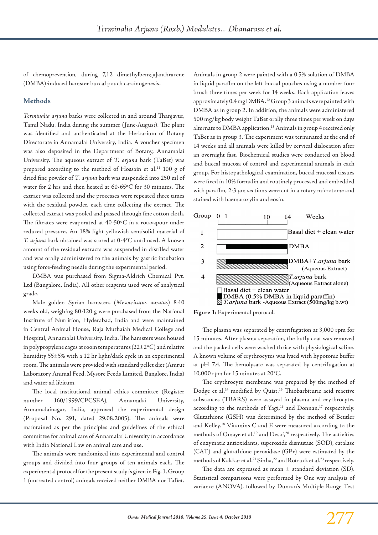of chemoprevention, during 7,12 dimethylbenz[a]anthracene (DMBA)-induced hamster buccal pouch carcinogenesis.

## **Methods**

*Terminalia arjuna* barks were collected in and around Thanjavur, Tamil Nadu, India during the summer (June-August). The plant was identified and authenticated at the Herbarium of Botany Directorate in Annamalai University, India. A voucher specimen was also deposited in the Department of Botany, Annamalai University. The aqueous extract of *T. arjuna* bark (TaBet) was prepared according to the method of Hossain et al.<sup>11</sup> 100 g of dried fine powder of *T. arjuna* bark was suspended into 250 ml of water for 2 hrs and then heated at 60-65ºC for 30 minutes. The extract was collected and the processes were repeated three times with the residual powder, each time collecting the extract. The collected extract was pooled and passed through fine cotton cloth. The filtrates were evaporated at 40-50ºC in a rotavapour under reduced pressure. An 18% light yellowish semisolid material of *T. arjuna* bark obtained was stored at 0-4°C until used. A known amount of the residual extracts was suspended in distilled water and was orally administered to the animals by gastric intubation using force-feeding needle during the experimental period.

DMBA was purchased from Sigma-Aldrich Chemical Pvt. Ltd (Bangalore, India). All other reagents used were of analytical grade.

Male golden Syrian hamsters (*Mesocricatus auratus*) 8-10 weeks old, weighing 80-120 g were purchased from the National Institute of Nutrition, Hyderabad, India and were maintained in Central Animal House, Raja Muthaiah Medical College and Hospital, Annamalai University, India. The hamsters were housed in polypropylene cages at room temperatures (22±2ºC) and relative humidity 55±5% with a 12 hr light/dark cycle in an experimental room. The animals were provided with standard pellet diet (Amrut Laboratory Animal Feed, Mysore Feeds Limited, Banglore, India) and water ad libitum.

The local institutional animal ethics committee (Register number 160/1999/CPCSEA), Annamalai University, Annamalainagar, India, approved the experimental design (Proposal No. 291, dated 29.08.2005). The animals were maintained as per the principles and guidelines of the ethical committee for animal care of Annamalai University in accordance with India National Law on animal care and use.

The animals were randomized into experimental and control groups and divided into four groups of ten animals each. The experimental protocol for the present study is given in Fig. 1. Group 1 (untreated control) animals received neither DMBA nor TaBet.

Animals in group 2 were painted with a 0.5% solution of DMBA in liquid paraffin on the left buccal pouches using a number four brush three times per week for 14 weeks. Each application leaves approximately 0.4 mg DMBA.<sup>12</sup> Group 3 animals were painted with DMBA as in group 2. In addition, the animals were administered 500 mg/kg body weight TaBet orally three times per week on days alternate to DMBA application.<sup>13</sup> Animals in group 4 received only TaBet as in group 3. The experiment was terminated at the end of 14 weeks and all animals were killed by cervical dislocation after an overnight fast. Biochemical studies were conducted on blood and buccal mucosa of control and experimental animals in each group. For histopathological examination, buccal mucosal tissues were fixed in 10% formalin and routinely processed and embedded with paraffin, 2-3 μm sections were cut in a rotary microtome and stained with haematoxylin and eosin.



**Figure 1:** Experimental protocol.

The plasma was separated by centrifugation at 3,000 rpm for 15 minutes. After plasma separation, the buffy coat was removed and the packed cells were washed thrice with physiological saline. A known volume of erythrocytes was lysed with hypotonic buffer at pH 7.4. The hemolysate was separated by centrifugation at 10,000 rpm for 15 minutes at 20°C.

The erythrocyte membrane was prepared by the method of Dodge et al.14 modified by Quist.15 Thiobarbituric acid reactive substances (TBARS) were assayed in plasma and erythrocytes according to the methods of Yagi,<sup>16</sup> and Donnan,<sup>17</sup> respectively. Glutathione (GSH) was determined by the method of Beutler and Kelley.18 Vitamins C and E were measured according to the methods of Omaye et al.<sup>19</sup> and Desai,<sup>20</sup> respectively. The activities of enzymatic antioxidants, superoxide dismutase (SOD), catalase (CAT) and glutathione peroxidase (GPx) were estimated by the methods of Kakkar et al.21 Sinha,22 and Rotruck et al*.* 23 respectively.

The data are expressed as mean  $\pm$  standard deviation (SD). Statistical comparisons were performed by One way analysis of variance (ANOVA), followed by Duncan's Multiple Range Test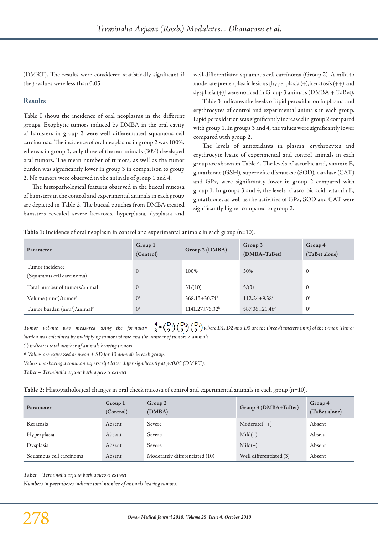(DMRT). The results were considered statistically significant if the *p*-values were less than 0.05.

## **Results**

Table I shows the incidence of oral neoplasms in the different groups. Exophytic tumors induced by DMBA in the oral cavity of hamsters in group 2 were well differentiated squamous cell carcinomas. The incidence of oral neoplasms in group 2 was 100%, whereas in group 3, only three of the ten animals (30%) developed oral tumors. The mean number of tumors, as well as the tumor burden was significantly lower in group 3 in comparison to group 2. No tumors were observed in the animals of group 1 and 4.

The histopathological features observed in the buccal mucosa of hamsters in the control and experimental animals in each group are depicted in Table 2. The buccal pouches from DMBA-treated hamsters revealed severe keratosis, hyperplasia, dysplasia and

well-differentiated squamous cell carcinoma (Group 2). A mild to moderate preneoplastic lesions [hyperplasia (+), keratosis (++) and dysplasia (+)] were noticed in Group 3 animals (DMBA + TaBet).

Table 3 indicates the levels of lipid peroxidation in plasma and erythrocytes of control and experimental animals in each group. Lipid peroxidation was significantly increased in group 2 compared with group 1. In groups 3 and 4, the values were significantly lower compared with group 2.

The levels of antioxidants in plasma, erythrocytes and erythrocyte lysate of experimental and control animals in each group are shown in Table 4. The levels of ascorbic acid, vitamin E, glutathione (GSH), superoxide dismutase (SOD), catalase (CAT) and GPx, were significantly lower in group 2 compared with group 1. In groups 3 and 4, the levels of ascorbic acid, vitamin E, glutathione, as well as the activities of GPx, SOD and CAT were significantly higher compared to group 2.

#### **Table 1:** Incidence of oral neoplasm in control and experimental animals in each group (n=10).

| Parameter                                           | Group 1<br>(Control) | Group 2 (DMBA)        | Group 3<br>(DMBA+TaBet) | Group 4<br>(TaBet alone) |
|-----------------------------------------------------|----------------------|-----------------------|-------------------------|--------------------------|
| Tumor incidence<br>(Squamous cell carcinoma)        | $\mathbf{0}$         | 100%                  | 30%                     | $\mathbf{0}$             |
| Total number of tumors/animal                       | $\mathbf{0}$         | 31/(10)               | 5/(3)                   | $\mathbf{0}$             |
| Volume (mm <sup>3</sup> )/tumor <sup>#</sup>        | $()^a$               | $368.15 \pm 30.74^b$  | $112.24 \pm 9.38$ c     | $0^{\mathrm{a}}$         |
| Tumor burden (mm <sup>3</sup> )/animal <sup>#</sup> | $0^a$                | $1141.27 \pm 76.32^b$ | 587.06±21.46c           | $0^{\mathrm{a}}$         |

*Tumor* volume was measured using the formula **v** =  $\frac{4}{3} \pi \left(\frac{D}{2}\right) \left(\frac{D}{2}\right) \left(\frac{D}{2}\right)$  where D1, D2 and D3 are the three diameters (mm) of the tumor. Tumor *burden was calculated by multiplying tumor volume and the number of tumors / animals.*

*( ) indicates total number of animals bearing tumors.*

*# Values are expressed as mean ± SD for 10 animals in each group.*

*Values not sharing a common superscript letter differ significantly at p<0.05 (DMRT).*

*TaBet – Terminalia arjuna bark aqueous extract*

**Table 2:** Histopathological changes in oral cheek mucosa of control and experimental animals in each group (n=10).

| Parameter               | Group 1<br>(Control) | Group 2<br>(DMBA)              | Group 3 (DMBA+TaBet)    | Group 4<br>(TaBet alone) |
|-------------------------|----------------------|--------------------------------|-------------------------|--------------------------|
| Keratosis               | Absent               | Severe                         | $Modernate(++)$         | Absent                   |
| Hyperplasia             | Absent               | Severe                         | $Mid(+)$                | Absent                   |
| Dysplasia               | Absent               | Severe                         | $Mid(+)$                | Absent                   |
| Squamous cell carcinoma | Absent               | Moderately differentiated (10) | Well differentiated (3) | Absent                   |

*TaBet – Terminalia arjuna bark aqueous extract*

*Numbers in parentheses indicate total number of animals bearing tumors.*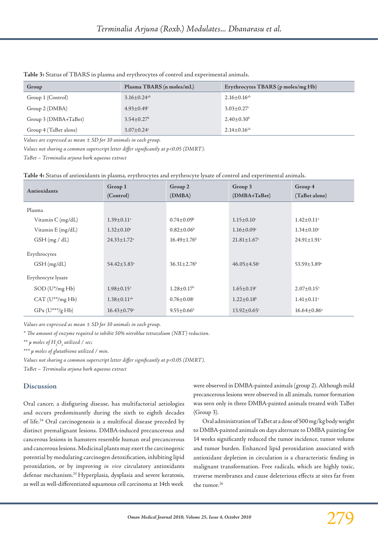| Group                 | Plasma TBARS (n moles/mL)     | Erythrocytes TBARS (p moles/mg Hb) |  |
|-----------------------|-------------------------------|------------------------------------|--|
| Group 1 (Control)     | $3.16 \pm 0.24$ <sup>ab</sup> | $2.16 \pm 0.16^{ab}$               |  |
| Group 2 (DMBA)        | $4.93 \pm 0.49$ <sup>c</sup>  | $3.03 \pm 0.27$ °                  |  |
| Group 3 (DMBA+TaBet)  | $3.54 \pm 0.27^b$             | $2.40 \pm 0.30^b$                  |  |
| Group 4 (TaBet alone) | $3.07 \pm 0.24$ <sup>a</sup>  | $2.14 \pm 0.16^{ab}$               |  |

**Table 3:** Status of TBARS in plasma and erythrocytes of control and experimental animals.

*Values are expressed as mean ± SD for 10 animals in each group.*

*Values not sharing a common superscript letter differ significantly at p<0.05 (DMRT).*

*TaBet – Terminalia arjuna bark aqueous extract*

**Table 4:** Status of antioxidants in plasma, erythrocytes and erythrocyte lysate of control and experimental animals.

| Antioxidants               | Group 1<br>(Control)          | Group 2<br>(DMBA)             | Group 3<br>$(DMBA+TaBet)$     | Group 4<br>(TaBet alone)      |
|----------------------------|-------------------------------|-------------------------------|-------------------------------|-------------------------------|
| Plasma                     |                               |                               |                               |                               |
| Vitamin C (mg/dL)          | $1.39 \pm 0.11$ <sup>a</sup>  | $0.74 \pm 0.09^{\rm b}$       | $1.15 \pm 0.10^{\circ}$       | $1.42 \pm 0.11$ <sup>a</sup>  |
| Vitamin E (mg/dL)          | $1.32 \pm 0.10^{\circ}$       | $0.82 \pm 0.06^b$             | $1.16 \pm 0.09$ <sup>c</sup>  | $1.34 \pm 0.10^{\circ}$       |
| GSH(mg/dL)                 | $24.33 \pm 1.72$ <sup>a</sup> | $16.49 \pm 1.76$ <sup>b</sup> | $21.81 \pm 1.67$ <sup>c</sup> | $24.91 \pm 1.91$ <sup>a</sup> |
| Erythrocytes<br>GSH(mg/dL) | $54.42 \pm 3.83$ <sup>a</sup> | $36.31 \pm 2.76^b$            | $46.05 \pm 4.56$ °            | $53.59 \pm 3.89^{\circ}$      |
| Erythrocyte lysate         |                               |                               |                               |                               |
| $SOD (U^*/mgHb)$           | $1.98 \pm 0.15^{\mathrm{a}}$  | $1.28 \pm 0.17^b$             | $1.65 \pm 0.19$ <sup>c</sup>  | $2.07 \pm 0.15^{\circ}$       |
| $CAT (U**/mg Hb)$          | $1.38 \pm 0.11$ <sup>ab</sup> | $0.76 \pm 0.08$ <sup>c</sup>  | $1.22 \pm 0.18^b$             | $1.41 \pm 0.11^{\circ}$       |
| $GPx (U^{***}/g Hb)$       | $16.43 \pm 0.79$ <sup>a</sup> | $9.55 \pm 0.66^b$             | $13.92 \pm 0.65$ <sup>c</sup> | $16.64 \pm 0.86^{\circ}$      |

*Values are expressed as mean ± SD for 10 animals in each group.*

*\* The amount of enzyme required to inhibit 50% nitroblue tetrazolium (NBT) reduction.*

 $\lambda^*$   $\mu$  moles of  $H_2O_2$  utilized / sec;

*\*\*\* µ moles of glutathione utilized / min.*

*Values not sharing a common superscript letter differ significantly at p<0.05 (DMRT).*

*TaBet – Terminalia arjuna bark aqueous extract*

## **Discussion**

Oral cancer, a disfiguring disease, has multifactorial aetiologies and occurs predominantly during the sixth to eighth decades of life.24 Oral carcinogenesis is a multifocal disease preceded by distinct premalignant lesions. DMBA-induced precancerous and cancerous lesions in hamsters resemble human oral precancerous and cancerous lesions. Medicinal plants may exert the carcinogenic potential by modulating carcinogen detoxification, inhibiting lipid peroxidation, or by improving *in vivo* circulatory antioxidants defense mechanism.25 Hyperplasia, dysplasia and severe keratosis, as well as well-differentiated squamous cell carcinoma at 14th week

were observed in DMBA-painted animals (group 2). Although mild precancerous lesions were observed in all animals, tumor formation was seen only in three DMBA-painted animals treated with TaBet (Group 3).

Oral administration of TaBet at a dose of 500 mg/kg body weight to DMBA-painted animals on days alternate to DMBA painting for 14 weeks significantly reduced the tumor incidence, tumor volume and tumor burden. Enhanced lipid peroxidation associated with antioxidant depletion in circulation is a characteristic finding in malignant transformation. Free radicals, which are highly toxic, traverse membranes and cause deleterious effects at sites far from the tumor.26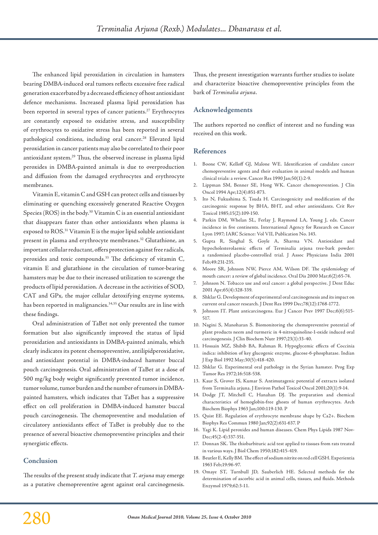The enhanced lipid peroxidation in circulation in hamsters bearing DMBA-induced oral tumors reflects excessive free radical generation exacerbated by a decreased efficiency of host antioxidant defence mechanisms. Increased plasma lipid peroxidation has been reported in several types of cancer patients.<sup>27</sup> Erythrocytes are constantly exposed to oxidative stress, and susceptibility of erythrocytes to oxidative stress has been reported in several pathological conditions, including oral cancer.<sup>28</sup> Elevated lipid peroxidation in cancer patients may also be correlated to their poor antioxidant system.29 Thus, the observed increase in plasma lipid peroxides in DMBA-painted animals is due to overproduction and diffusion from the damaged erythrocytes and erythrocyte membranes.

Vitamin E, vitamin C and GSH can protect cells and tissues by eliminating or quenching excessively generated Reactive Oxygen Species (ROS) in the body.30 Vitamin C is an essential antioxidant that disappears faster than other antioxidants when plasma is exposed to ROS.31 Vitamin E is the major lipid soluble antioxidant present in plasma and erythrocyte membranes.32 Glutathione, an important cellular reductant, offers protection against free radicals, peroxides and toxic compounds.<sup>33</sup> The deficiency of vitamin C, vitamin E and glutathione in the circulation of tumor-bearing hamsters may be due to their increased utilization to scavenge the products of lipid peroxidation. A decrease in the activities of SOD, CAT and GPx, the major cellular detoxifying enzyme systems, has been reported in malignancies.<sup>34,35</sup> Our results are in line with these findings.

Oral administration of TaBet not only prevented the tumor formation but also significantly improved the status of lipid peroxidation and antioxidants in DMBA-painted animals, which clearly indicates its potent chemopreventive, antilipidperoxidative, and antioxidant potential in DMBA-induced hamster buccal pouch carcinogenesis. Oral administration of TaBet at a dose of 500 mg/kg body weight significantly prevented tumor incidence, tumor volume, tumor burden and the number of tumors in DMBApainted hamsters, which indicates that TaBet has a suppressive effect on cell proliferation in DMBA-induced hamster buccal pouch carcinogenesis. The chemopreventive and modulation of circulatory antioxidants effect of TaBet is probably due to the presence of several bioactive chemopreventive principles and their synergistic effects.

# **Conclusion**

The results of the present study indicate that *T. arjuna* may emerge as a putative chemopreventive agent against oral carcinogenesis. Thus, the present investigation warrants further studies to isolate and characterize bioactive chemopreventive principles from the bark of *Terminalia arjuna*.

## **Acknowledgements**

The authors reported no conflict of interest and no funding was received on this work.

#### **References**

- 1. Boone CW, Kelloff GJ, Malone WE. Identification of candidate cancer chemopreventive agents and their evaluation in animal models and human clinical trials: a review. Cancer Res 1990 Jan;50(1):2-9.
- 2. Lippman SM, Benner SE, Hong WK. Cancer chemoprevention. J Clin Oncol 1994 Apr;12(4):851-873.
- 3. Ito N, Fukushima S, Tsuda H. Carcinogenicity and modification of the carcinogenic response by BHA, BHT, and other antioxidants. Crit Rev Toxicol 1985;15(2):109-150.
- 4. Parkin DM, Whelan SL, Ferlay J, Raymond LA, Young J, eds. Cancer incidence in five continents. International Agency for Research on Cancer Lyon 1997; IARC Science: Vol VII, Publication No. 143.
- 5. Gupta R, Singhal S, Goyle A, Sharma VN. Antioxidant and hypocholesterolaemic effects of Terminalia arjuna tree-bark powder: a randomised placebo-controlled trial. J Assoc Physicians India 2001 Feb;49:231-235.
- 6. Moore SR, Johnson NW, Pierce AM, Wilson DF. The epidemiology of mouth cancer: a review of global incidence. Oral Dis 2000 Mar;6(2):65-74.
- 7. Johnson N. Tobacco use and oral cancer: a global perspective. J Dent Educ 2001 Apr;65(4):328-339.
- 8. Shklar G. Development of experimental oral carcinogenesis and its impact on current oral cancer research. J Dent Res 1999 Dec;78(12):1768-1772.
- 9. Johnson IT. Plant anticarcinogens. Eur J Cancer Prev 1997 Dec;6(6):515-517.
- 10. Nagini S, Manoharan S. Biomonitoring the chemopreventive potential of plant products neem and turmeric in 4-nitroquinoline-1-oxide induced oral carcinogenesis. J Clin Biochem Nutr 1997;23(1):33-40.
- 11. Hossain MZ, Shibib BA, Rahman R. Hypoglycemic effects of Coccinia indica: inhibition of key glucogenic enzyme, glucose-6-phosphatase. Indian J Exp Biol 1992 May;30(5):418-420.
- 12. Shklar G. Experimental oral pathology in the Syrian hamster. Prog Exp Tumor Res 1972;16:518-538.
- 13. Kaur S, Grover IS, Kumar S. Antimutagenic potential of extracts isolated from Terminalia arjuna. J Environ Pathol Toxicol Oncol 2001;20(1):9-14.
- 14. Dodge JT, Mitchell C, Hanahan DJ. The preparation and chemical characteristics of hemoglobin-free ghosts of human erythrocytes. Arch Biochem Biophys 1963 Jan;100:119-130. P
- 15. Quist EE. Regulation of erythrocyte membrane shape by Ca2+. Biochem Biophys Res Commun 1980 Jan;92(2):631-637. P
- 16. Yagi K. Lipid peroxides and human diseases. Chem Phys Lipids 1987 Nov-Dec;45(2-4):337-351.
- 17. Donnan SK. The thiobarbituric acid test applied to tissues from rats treated in various ways. J Biol Chem 1950;182:415-419.
- 18. Beutler E, Kelly BM. The effect of sodium nitrite on red cell GSH. Experientia 1963 Feb;19:96-97.
- 19. Omaye ST, Turnbull JD, Sauberlich HE. Selected methods for the determination of ascorbic acid in animal cells, tissues, and fluids. Methods Enzymol 1979;62:3-11.